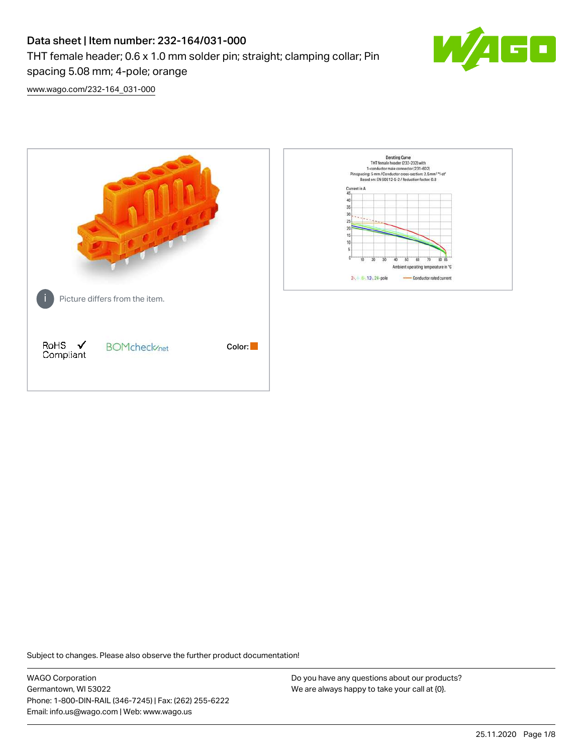# Data sheet | Item number: 232-164/031-000 THT female header; 0.6 x 1.0 mm solder pin; straight; clamping collar; Pin spacing 5.08 mm; 4-pole; orange



[www.wago.com/232-164\\_031-000](http://www.wago.com/232-164_031-000)



Subject to changes. Please also observe the further product documentation!

WAGO Corporation Germantown, WI 53022 Phone: 1-800-DIN-RAIL (346-7245) | Fax: (262) 255-6222 Email: info.us@wago.com | Web: www.wago.us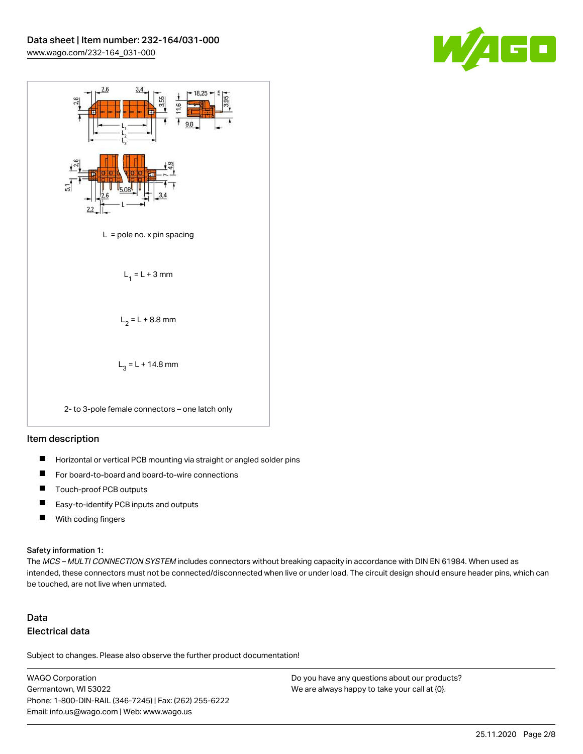



### Item description

- $\blacksquare$ Horizontal or vertical PCB mounting via straight or angled solder pins
- П For board-to-board and board-to-wire connections
- $\blacksquare$ Touch-proof PCB outputs
- $\blacksquare$ Easy-to-identify PCB inputs and outputs
- $\blacksquare$ With coding fingers

#### Safety information 1:

The MCS - MULTI CONNECTION SYSTEM includes connectors without breaking capacity in accordance with DIN EN 61984. When used as intended, these connectors must not be connected/disconnected when live or under load. The circuit design should ensure header pins, which can be touched, are not live when unmated.

## Data Electrical data

Subject to changes. Please also observe the further product documentation!

WAGO Corporation Germantown, WI 53022 Phone: 1-800-DIN-RAIL (346-7245) | Fax: (262) 255-6222 Email: info.us@wago.com | Web: www.wago.us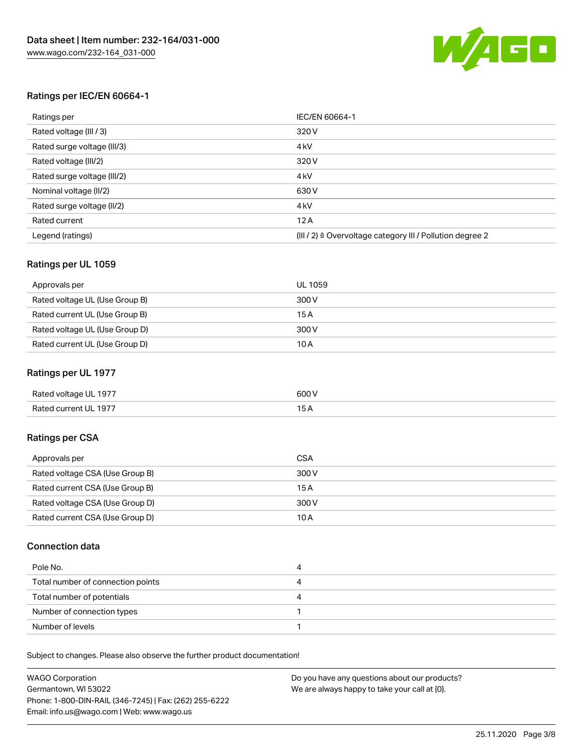

## Ratings per IEC/EN 60664-1

| Ratings per                 | IEC/EN 60664-1                                                        |
|-----------------------------|-----------------------------------------------------------------------|
| Rated voltage (III / 3)     | 320 V                                                                 |
| Rated surge voltage (III/3) | 4 <sub>k</sub> V                                                      |
| Rated voltage (III/2)       | 320 V                                                                 |
| Rated surge voltage (III/2) | 4 <sub>k</sub> V                                                      |
| Nominal voltage (II/2)      | 630 V                                                                 |
| Rated surge voltage (II/2)  | 4 <sub>k</sub> V                                                      |
| Rated current               | 12A                                                                   |
| Legend (ratings)            | $(III / 2)$ $\triangle$ Overvoltage category III / Pollution degree 2 |

## Ratings per UL 1059

| Approvals per                  | UL 1059 |
|--------------------------------|---------|
| Rated voltage UL (Use Group B) | 300 V   |
| Rated current UL (Use Group B) | 15 A    |
| Rated voltage UL (Use Group D) | 300 V   |
| Rated current UL (Use Group D) | 10 A    |

## Ratings per UL 1977

| Rated voltage UL 1977 | 600 <sup>V</sup><br>. |
|-----------------------|-----------------------|
| Rated current UL 1977 |                       |

## Ratings per CSA

| Approvals per                   | CSA   |
|---------------------------------|-------|
| Rated voltage CSA (Use Group B) | 300 V |
| Rated current CSA (Use Group B) | 15 A  |
| Rated voltage CSA (Use Group D) | 300 V |
| Rated current CSA (Use Group D) | 10 A  |

## Connection data

| Pole No.                          |  |
|-----------------------------------|--|
| Total number of connection points |  |
| Total number of potentials        |  |
| Number of connection types        |  |
| Number of levels                  |  |

Subject to changes. Please also observe the further product documentation!

| <b>WAGO Corporation</b>                                | Do you have any questions about our products? |
|--------------------------------------------------------|-----------------------------------------------|
| Germantown, WI 53022                                   | We are always happy to take your call at {0}. |
| Phone: 1-800-DIN-RAIL (346-7245)   Fax: (262) 255-6222 |                                               |
| Email: info.us@wago.com   Web: www.wago.us             |                                               |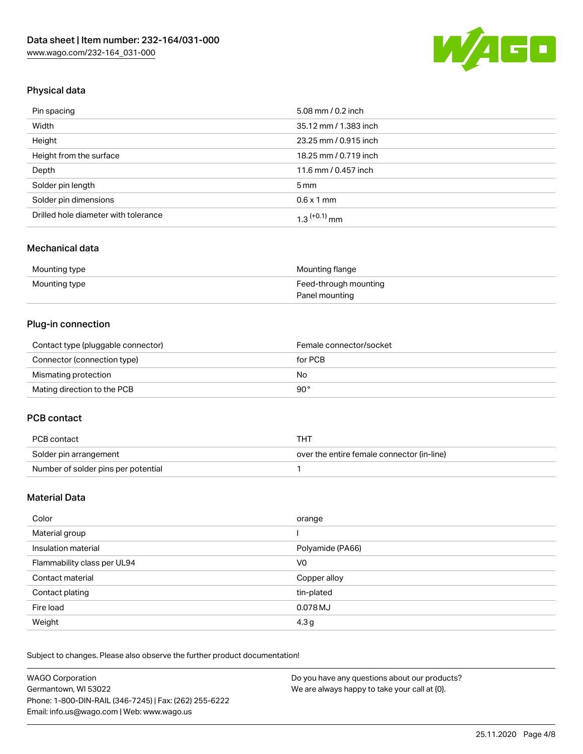

## Physical data

| Pin spacing                          | 5.08 mm / 0.2 inch    |
|--------------------------------------|-----------------------|
| Width                                | 35.12 mm / 1.383 inch |
| Height                               | 23.25 mm / 0.915 inch |
| Height from the surface              | 18.25 mm / 0.719 inch |
| Depth                                | 11.6 mm / 0.457 inch  |
| Solder pin length                    | $5 \,\mathrm{mm}$     |
| Solder pin dimensions                | $0.6 \times 1$ mm     |
| Drilled hole diameter with tolerance | $1.3$ $(+0.1)$ mm     |

## Mechanical data

| Mounting type | Mounting flange       |
|---------------|-----------------------|
| Mounting type | Feed-through mounting |
|               | Panel mounting        |

## Plug-in connection

| Contact type (pluggable connector) | Female connector/socket |
|------------------------------------|-------------------------|
| Connector (connection type)        | for PCB                 |
| Mismating protection               | No.                     |
| Mating direction to the PCB        | 90°                     |

## PCB contact

| PCB contact                         | THT                                        |
|-------------------------------------|--------------------------------------------|
| Solder pin arrangement              | over the entire female connector (in-line) |
| Number of solder pins per potential |                                            |

## Material Data

| Color                       | orange           |
|-----------------------------|------------------|
| Material group              |                  |
| Insulation material         | Polyamide (PA66) |
| Flammability class per UL94 | V0               |
| Contact material            | Copper alloy     |
| Contact plating             | tin-plated       |
| Fire load                   | 0.078 MJ         |
| Weight                      | 4.3 <sub>g</sub> |

Subject to changes. Please also observe the further product documentation!

| <b>WAGO Corporation</b>                                | Do you have any questions about our products? |
|--------------------------------------------------------|-----------------------------------------------|
| Germantown, WI 53022                                   | We are always happy to take your call at {0}. |
| Phone: 1-800-DIN-RAIL (346-7245)   Fax: (262) 255-6222 |                                               |
| Email: info.us@wago.com   Web: www.wago.us             |                                               |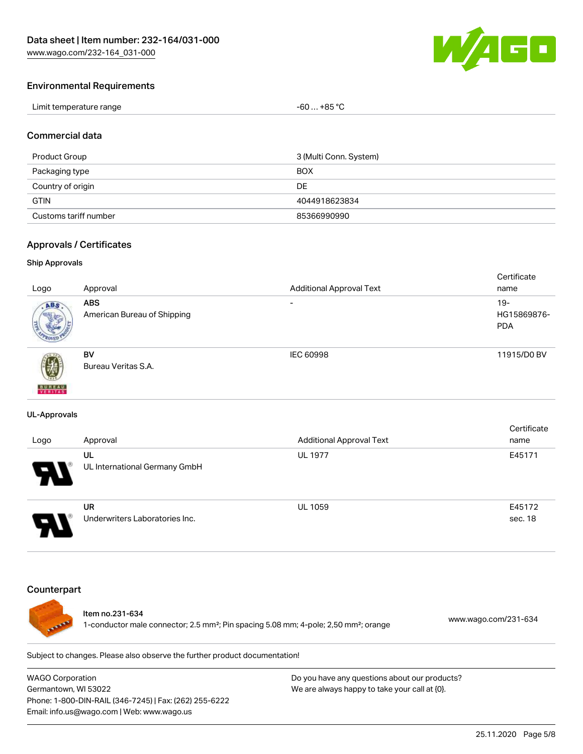

### Environmental Requirements

| Limit temperature range | -60  +85 °Ր |
|-------------------------|-------------|
|-------------------------|-------------|

### Commercial data

| Product Group         | 3 (Multi Conn. System) |
|-----------------------|------------------------|
| Packaging type        | <b>BOX</b>             |
| Country of origin     | DE                     |
| <b>GTIN</b>           | 4044918623834          |
| Customs tariff number | 85366990990            |

#### Approvals / Certificates

#### Ship Approvals

|                           |                             |                                 | Certificate |
|---------------------------|-----------------------------|---------------------------------|-------------|
| Logo                      | Approval                    | <b>Additional Approval Text</b> | name        |
| ABS.                      | <b>ABS</b>                  | $\overline{\phantom{a}}$        | $19 -$      |
|                           | American Bureau of Shipping |                                 | HG15869876- |
|                           |                             |                                 | <b>PDA</b>  |
|                           |                             |                                 |             |
|                           | <b>BV</b>                   | IEC 60998                       | 11915/D0 BV |
| 瓕                         | Bureau Veritas S.A.         |                                 |             |
|                           |                             |                                 |             |
| <b>BUREAU</b><br>VERITAST |                             |                                 |             |

#### UL-Approvals

| Logo                  | Approval                             | <b>Additional Approval Text</b> | Certificate<br>name |
|-----------------------|--------------------------------------|---------------------------------|---------------------|
| $\boldsymbol{\theta}$ | UL<br>UL International Germany GmbH  | <b>UL 1977</b>                  | E45171              |
| □                     | UR<br>Underwriters Laboratories Inc. | <b>UL 1059</b>                  | E45172<br>sec. 18   |

## **Counterpart**



## Item no.231-634

1-conductor male connector; 2.5 mm²; Pin spacing 5.08 mm; 4-pole; 2,50 mm²; orange [www.wago.com/231-634](https://www.wago.com/231-634)

Subject to changes. Please also observe the further product documentation!

WAGO Corporation Germantown, WI 53022 Phone: 1-800-DIN-RAIL (346-7245) | Fax: (262) 255-6222 Email: info.us@wago.com | Web: www.wago.us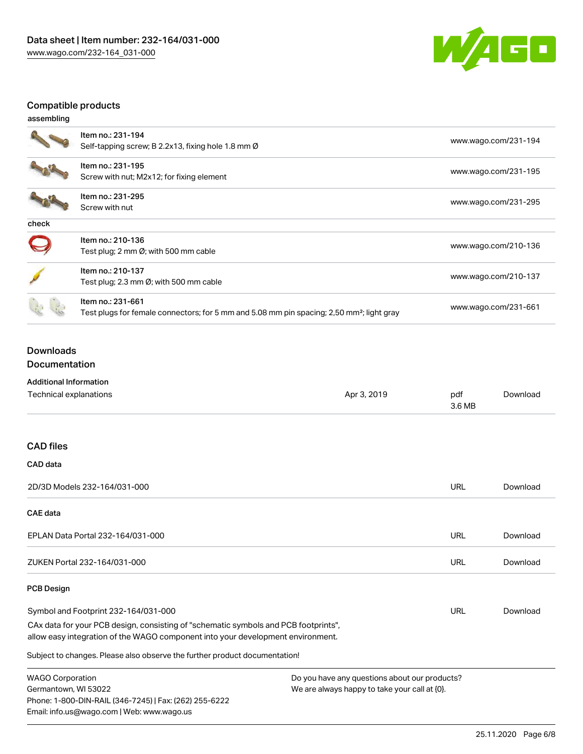

## Compatible products

| assembling |                                                                                                                            |                      |
|------------|----------------------------------------------------------------------------------------------------------------------------|----------------------|
|            | Item no.: 231-194<br>Self-tapping screw; B 2.2x13, fixing hole 1.8 mm $\varnothing$                                        | www.wago.com/231-194 |
|            | Item no.: 231-195<br>Screw with nut; M2x12; for fixing element                                                             | www.wago.com/231-195 |
|            | Item no.: 231-295<br>Screw with nut                                                                                        | www.wago.com/231-295 |
| check      |                                                                                                                            |                      |
|            | Item no.: 210-136<br>Test plug; 2 mm $\varnothing$ ; with 500 mm cable                                                     | www.wago.com/210-136 |
|            | Item no.: 210-137<br>Test plug; 2.3 mm $\varnothing$ ; with 500 mm cable                                                   | www.wago.com/210-137 |
|            | Item no.: 231-661<br>Test plugs for female connectors; for 5 mm and 5.08 mm pin spacing; 2,50 mm <sup>2</sup> ; light gray | www.wago.com/231-661 |

## Downloads Documentation

## Additional Information

| Technical explanations                                                                                                                                                 | Apr 3, 2019 | pdf<br>3.6 MB | Download |
|------------------------------------------------------------------------------------------------------------------------------------------------------------------------|-------------|---------------|----------|
| <b>CAD files</b>                                                                                                                                                       |             |               |          |
| <b>CAD</b> data                                                                                                                                                        |             |               |          |
| 2D/3D Models 232-164/031-000                                                                                                                                           |             | <b>URL</b>    | Download |
| <b>CAE</b> data                                                                                                                                                        |             |               |          |
| EPLAN Data Portal 232-164/031-000                                                                                                                                      |             | <b>URL</b>    | Download |
| ZUKEN Portal 232-164/031-000                                                                                                                                           |             | URL           | Download |
| <b>PCB Design</b>                                                                                                                                                      |             |               |          |
| Symbol and Footprint 232-164/031-000                                                                                                                                   |             | URL           | Download |
| CAx data for your PCB design, consisting of "schematic symbols and PCB footprints",<br>allow easy integration of the WAGO component into your development environment. |             |               |          |
| Subject to changes. Please also observe the further product documentation!                                                                                             |             |               |          |
| <b>WAGO Corporation</b><br>Do you have any questions about our products?                                                                                               |             |               |          |

Germantown, WI 53022 Phone: 1-800-DIN-RAIL (346-7245) | Fax: (262) 255-6222 Email: info.us@wago.com | Web: www.wago.us

We are always happy to take your call at {0}.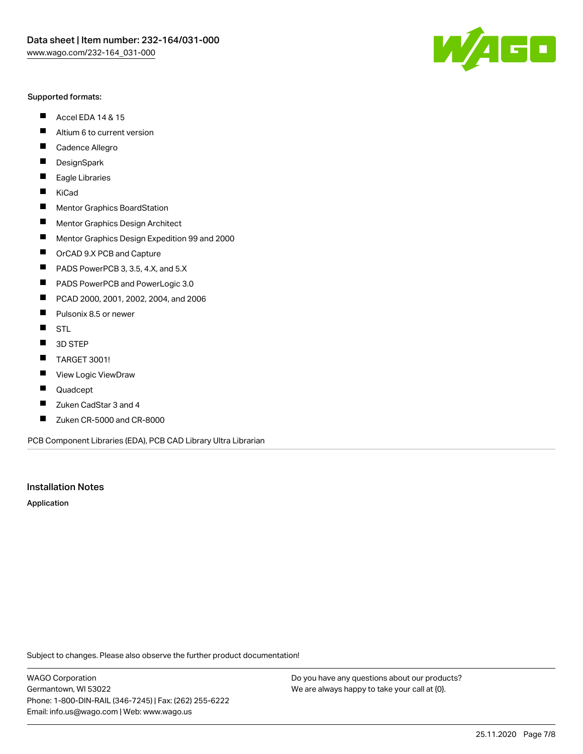#### Supported formats:

- $\blacksquare$ Accel EDA 14 & 15
- $\blacksquare$ Altium 6 to current version
- $\blacksquare$ Cadence Allegro
- $\blacksquare$ **DesignSpark**
- $\blacksquare$ Eagle Libraries
- $\blacksquare$ KiCad
- $\blacksquare$ Mentor Graphics BoardStation
- $\blacksquare$ Mentor Graphics Design Architect
- $\blacksquare$ Mentor Graphics Design Expedition 99 and 2000
- $\blacksquare$ OrCAD 9.X PCB and Capture
- $\blacksquare$ PADS PowerPCB 3, 3.5, 4.X, and 5.X
- $\blacksquare$ PADS PowerPCB and PowerLogic 3.0
- $\blacksquare$ PCAD 2000, 2001, 2002, 2004, and 2006
- $\blacksquare$ Pulsonix 8.5 or newer
- $\blacksquare$ STL
- 3D STEP П
- $\blacksquare$ TARGET 3001!
- $\blacksquare$ View Logic ViewDraw
- $\blacksquare$ Quadcept
- Zuken CadStar 3 and 4  $\blacksquare$
- Zuken CR-5000 and CR-8000 П

PCB Component Libraries (EDA), PCB CAD Library Ultra Librarian

## Installation Notes

Application

Subject to changes. Please also observe the further product documentation!

WAGO Corporation Germantown, WI 53022 Phone: 1-800-DIN-RAIL (346-7245) | Fax: (262) 255-6222 Email: info.us@wago.com | Web: www.wago.us